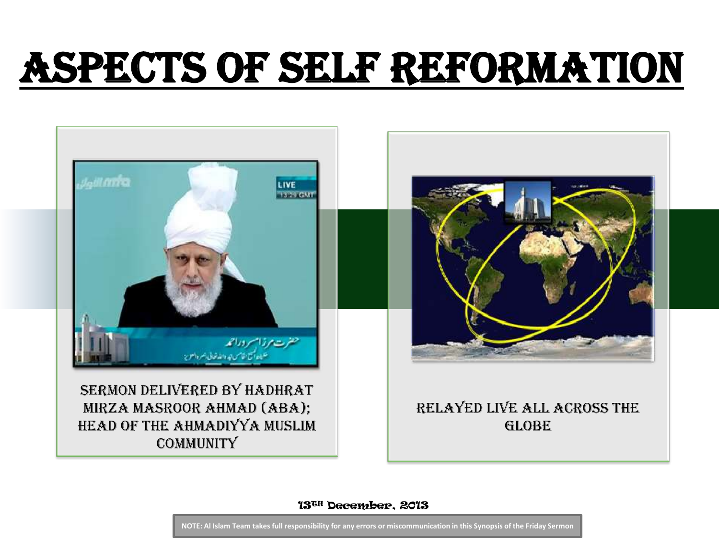## Aspects of Self Reformation



13TH December, 2013

**NOTE: Al Islam Team takes full responsibility for any errors or miscommunication in this Synopsis of the Friday Sermon**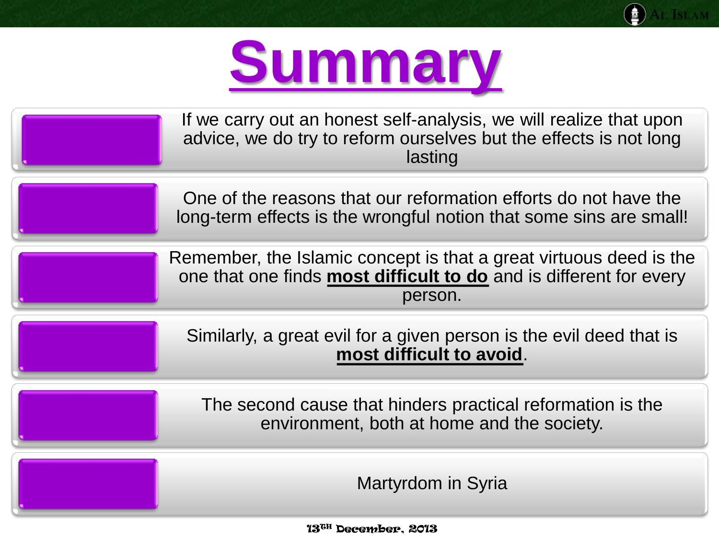

AL ISLAM

❀

| If we carry out an honest self-analysis, we will realize that upon<br>advice, we do try to reform ourselves but the effects is not long<br>lasting  |
|-----------------------------------------------------------------------------------------------------------------------------------------------------|
| One of the reasons that our reformation efforts do not have the<br>long-term effects is the wrongful notion that some sins are small!               |
| Remember, the Islamic concept is that a great virtuous deed is the<br>one that one finds most difficult to do and is different for every<br>person. |
| Similarly, a great evil for a given person is the evil deed that is<br>most difficult to avoid.                                                     |
| The second cause that hinders practical reformation is the<br>environment, both at home and the society.                                            |
| Martyrdom in Syria                                                                                                                                  |

13TH December, 2013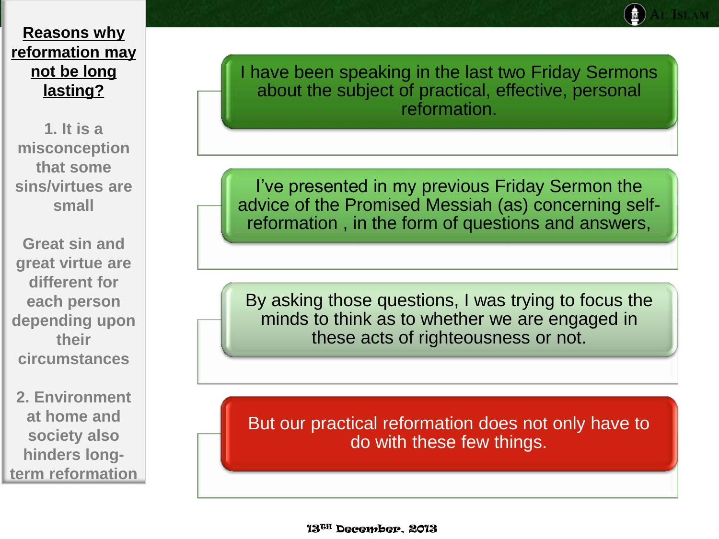**1. It is a misconception that some sins/virtues are small**

**Great sin and great virtue are different for each person depending upon their circumstances**

**2. Environment at home and society also hinders longterm reformation** I have been speaking in the last two Friday Sermons about the subject of practical, effective, personal reformation.

I've presented in my previous Friday Sermon the advice of the Promised Messiah (as) concerning selfreformation , in the form of questions and answers,

By asking those questions, I was trying to focus the minds to think as to whether we are engaged in these acts of righteousness or not.

But our practical reformation does not only have to do with these few things.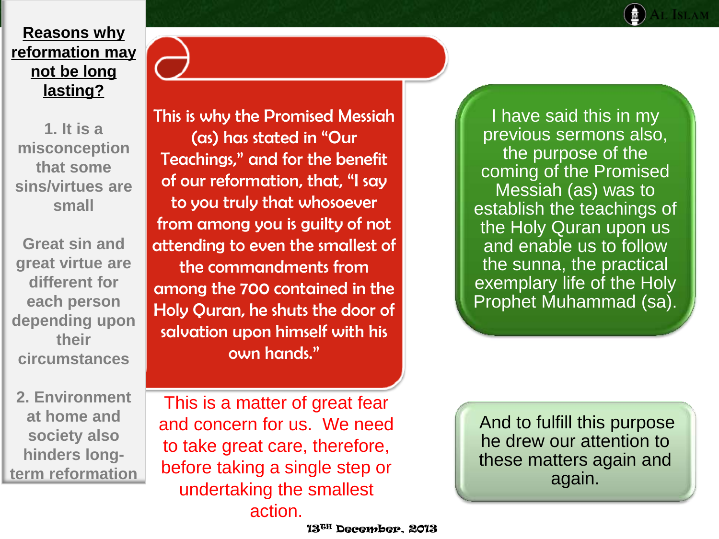**1. It is a misconception that some sins/virtues are small**

**Great sin and great virtue are different for each person depending upon their circumstances**

**2. Environment at home and society also hinders longterm reformation**

This is why the Promised Messiah (as) has stated in "Our Teachings," and for the benefit of our reformation, that, "I say to you truly that whosoever from among you is guilty of not attending to even the smallest of the commandments from among the 700 contained in the Holy Quran, he shuts the door of salvation upon himself with his own hands."

This is a matter of great fear and concern for us. We need to take great care, therefore, before taking a single step or undertaking the smallest

13TH December, 2013

action.

I have said this in my previous sermons also, the purpose of the coming of the Promised Messiah (as) was to establish the teachings of the Holy Quran upon us and enable us to follow the sunna, the practical exemplary life of the Holy Prophet Muhammad (sa).

And to fulfill this purpose he drew our attention to these matters again and again.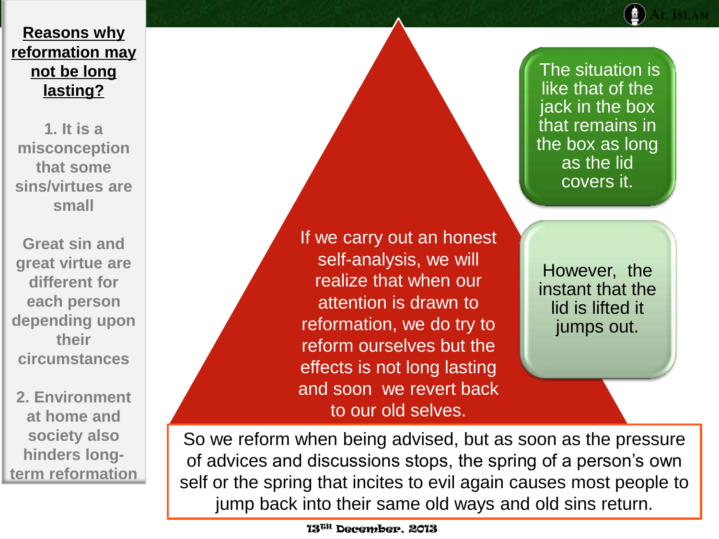**1. It is a misconception that some sins/virtues are small**

**Great sin and great virtue are different for each person depending upon their circumstances**

**2. Environment at home and society also hinders longterm reformation**

If we carry out an honest self-analysis, we will realize that when our attention is drawn to reformation, we do try to reform ourselves but the effects is not long lasting and soon we revert back to our old selves.

The situation is like that of the jack in the box that remains in the box as long as the lid covers it.

However, the instant that the lid is lifted it jumps out.

So we reform when being advised, but as soon as the pressure of advices and discussions stops, the spring of a person's own self or the spring that incites to evil again causes most people to jump back into their same old ways and old sins return.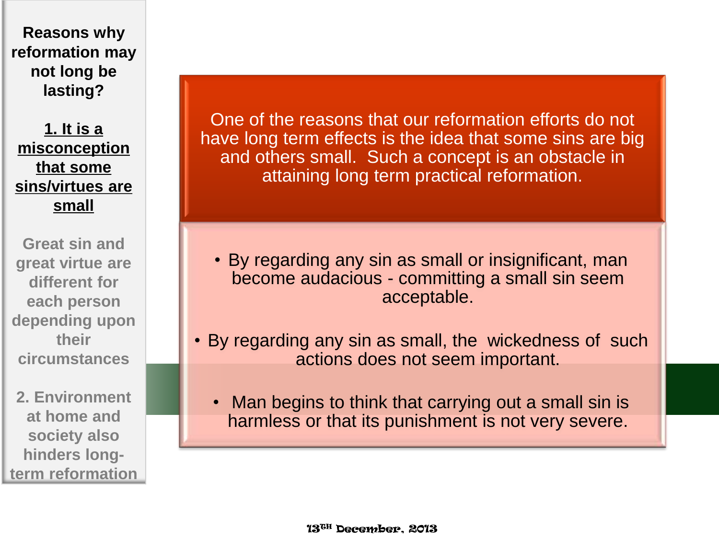**1. It is a misconception that some sins/virtues are small**

**Great sin and great virtue are different for each person depending upon their circumstances**

**2. Environment at home and society also hinders longterm reformation**

One of the reasons that our reformation efforts do not have long term effects is the idea that some sins are big and others small. Such a concept is an obstacle in attaining long term practical reformation.

- By regarding any sin as small or insignificant, man become audacious - committing a small sin seem acceptable.
- By regarding any sin as small, the wickedness of such actions does not seem important.
	- Man begins to think that carrying out a small sin is harmless or that its punishment is not very severe.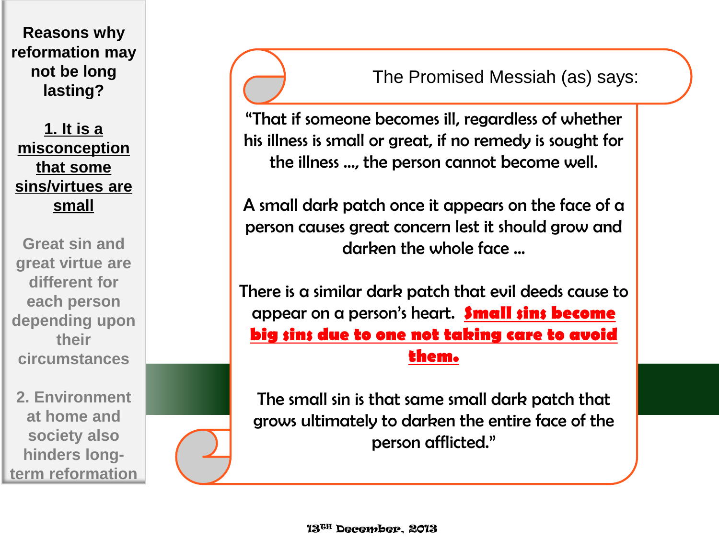**1. It is a misconception that some sins/virtues are small**

**Great sin and great virtue are different for each person depending upon their circumstances**

**2. Environment at home and society also hinders longterm reformation**

The Promised Messiah (as) says:

"That if someone becomes ill, regardless of whether his illness is small or great, if no remedy is sought for the illness …, the person cannot become well.

A small dark patch once it appears on the face of a person causes great concern lest it should grow and darken the whole face ...

There is a similar dark patch that evil deeds cause to appear on a person's heart. **Small sins become big sins due to one not taking care to avoid them.** 

The small sin is that same small dark patch that grows ultimately to darken the entire face of the person afflicted."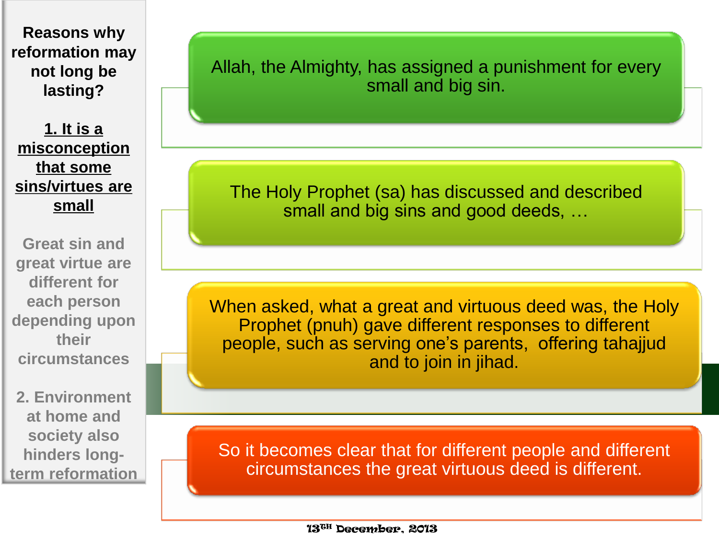**1. It is a misconception that some sins/virtues are small**

**Great sin and great virtue are different for each person depending upon their circumstances**

**2. Environment at home and society also hinders longterm reformation** Allah, the Almighty, has assigned a punishment for every small and big sin.

The Holy Prophet (sa) has discussed and described small and big sins and good deeds, …

When asked, what a great and virtuous deed was, the Holy Prophet (pnuh) gave different responses to different people, such as serving one's parents, offering tahajjud and to join in jihad.

So it becomes clear that for different people and different circumstances the great virtuous deed is different.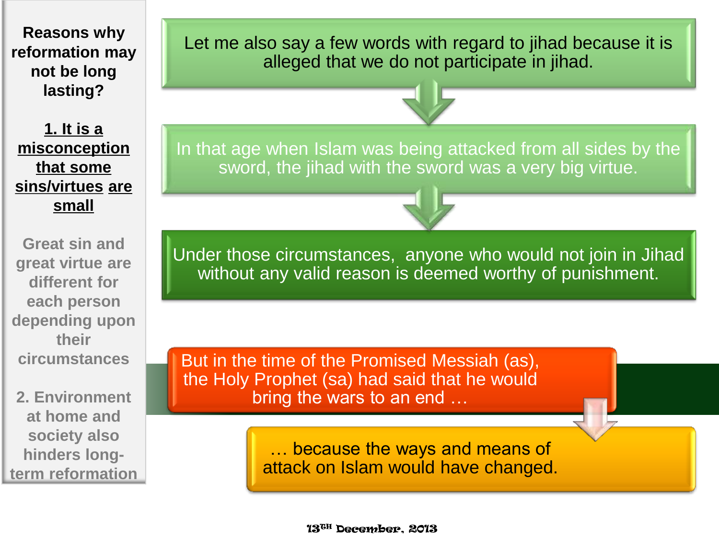**1. It is a misconception that some sins/virtues are small**

**Great sin and great virtue are different for each person depending upon their circumstances**

**2. Environment at home and society also hinders longterm reformation** Let me also say a few words with regard to jihad because it is alleged that we do not participate in jihad.



In that age when Islam was being attacked from all sides by the sword, the jihad with the sword was a very big virtue.

Under those circumstances, anyone who would not join in Jihad without any valid reason is deemed worthy of punishment.

But in the time of the Promised Messiah (as), the Holy Prophet (sa) had said that he would bring the wars to an end …

> … because the ways and means of attack on Islam would have changed.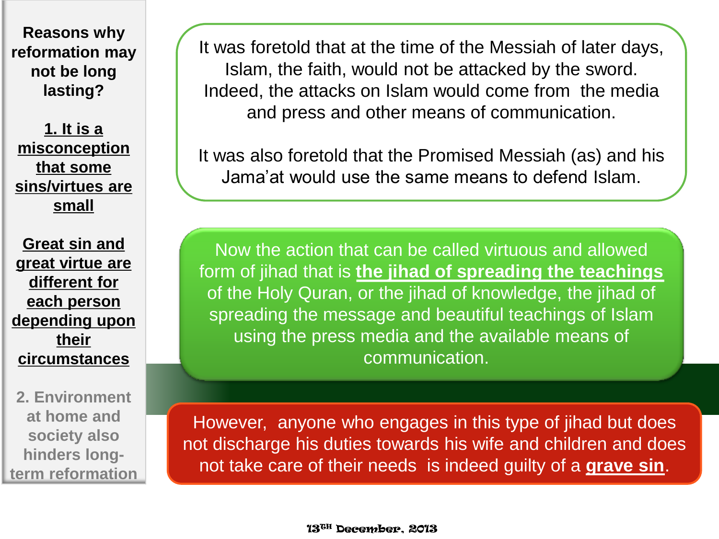**1. It is a misconception that some sins/virtues are small**

**Great sin and great virtue are different for each person depending upon their circumstances**

**2. Environment at home and society also hinders longterm reformation** It was foretold that at the time of the Messiah of later days, Islam, the faith, would not be attacked by the sword. Indeed, the attacks on Islam would come from the media and press and other means of communication.

It was also foretold that the Promised Messiah (as) and his Jama'at would use the same means to defend Islam.

Now the action that can be called virtuous and allowed form of jihad that is **the jihad of spreading the teachings**  of the Holy Quran, or the jihad of knowledge, the jihad of spreading the message and beautiful teachings of Islam using the press media and the available means of communication.

However, anyone who engages in this type of jihad but does not discharge his duties towards his wife and children and does not take care of their needs is indeed guilty of a **grave sin**.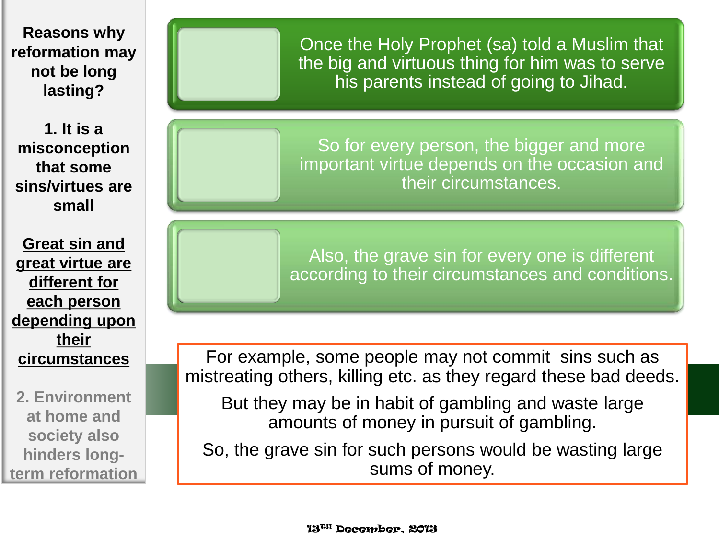**1. It is a misconception that some sins/virtues are small**

**Great sin and great virtue are different for each person depending upon their circumstances**

**2. Environment at home and society also hinders longterm reformation**

Once the Holy Prophet (sa) told a Muslim that the big and virtuous thing for him was to serve his parents instead of going to Jihad.

So for every person, the bigger and more important virtue depends on the occasion and their circumstances.

Also, the grave sin for every one is different according to their circumstances and conditions.

For example, some people may not commit sins such as mistreating others, killing etc. as they regard these bad deeds.

But they may be in habit of gambling and waste large amounts of money in pursuit of gambling.

So, the grave sin for such persons would be wasting large sums of money.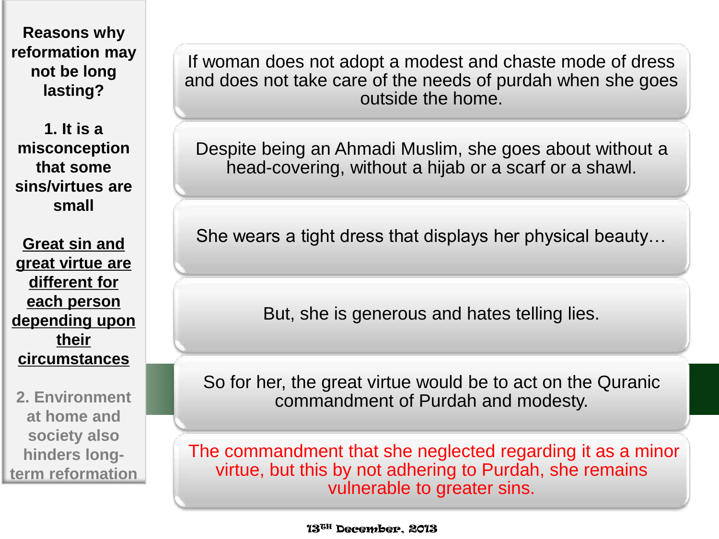**1. It is a misconception that some sins/virtues are small**

**Great sin and great virtue are different for each person depending upon their circumstances**

**2. Environment at home and society also hinders longterm reformation**

If woman does not adopt a modest and chaste mode of dress and does not take care of the needs of purdah when she goes outside the home.

Despite being an Ahmadi Muslim, she goes about without a head-covering, without a hijab or a scarf or a shawl.

She wears a tight dress that displays her physical beauty…

But, she is generous and hates telling lies.

So for her, the great virtue would be to act on the Quranic commandment of Purdah and modesty.

The commandment that she neglected regarding it as a minor virtue, but this by not adhering to Purdah, she remains vulnerable to greater sins.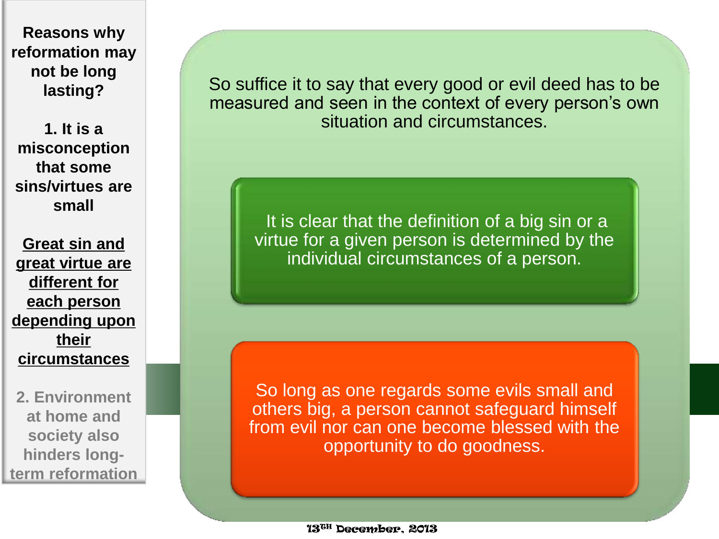**1. It is a misconception that some sins/virtues are small**

**Great sin and great virtue are different for each person depending upon their circumstances**

**2. Environment at home and society also hinders longterm reformation** So suffice it to say that every good or evil deed has to be measured and seen in the context of every person's own situation and circumstances.

It is clear that the definition of a big sin or a virtue for a given person is determined by the individual circumstances of a person.

So long as one regards some evils small and others big, a person cannot safeguard himself from evil nor can one become blessed with the opportunity to do goodness.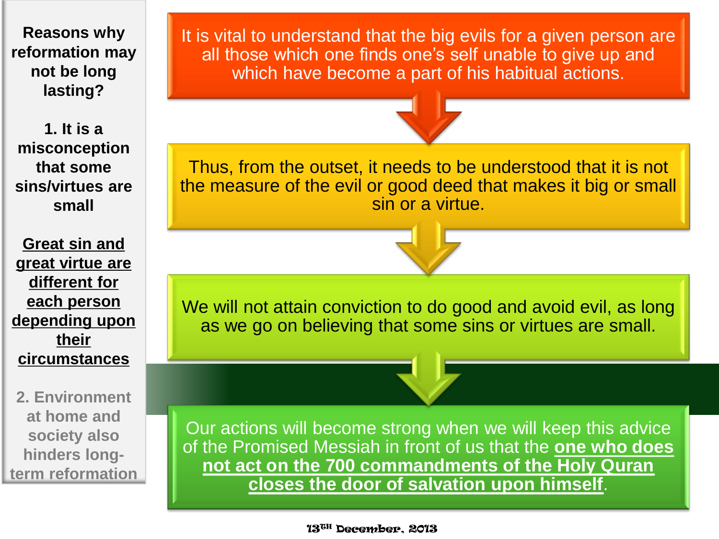**1. It is a misconception that some sins/virtues are small**

**Great sin and great virtue are different for each person depending upon their circumstances**

**2. Environment at home and society also hinders longterm reformation** It is vital to understand that the big evils for a given person are all those which one finds one's self unable to give up and which have become a part of his habitual actions.



Thus, from the outset, it needs to be understood that it is not the measure of the evil or good deed that makes it big or small sin or a virtue.

We will not attain conviction to do good and avoid evil, as long as we go on believing that some sins or virtues are small.

Our actions will become strong when we will keep this advice of the Promised Messiah in front of us that the **one who does not act on the 700 commandments of the Holy Quran closes the door of salvation upon himself**.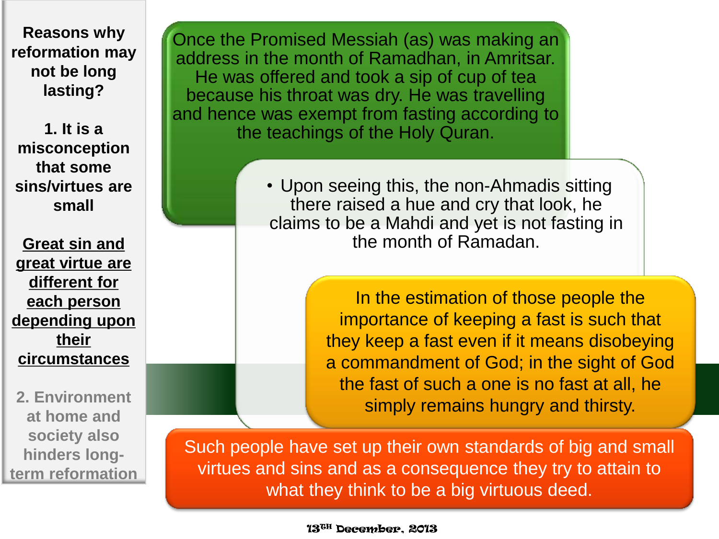**1. It is a misconception that some sins/virtues are small**

**Great sin and great virtue are different for each person depending upon their circumstances**

**2. Environment at home and society also hinders longterm reformation**

Once the Promised Messiah (as) was making an address in the month of Ramadhan, in Amritsar. He was offered and took a sip of cup of tea because his throat was dry. He was travelling and hence was exempt from fasting according to the teachings of the Holy Quran.

> • Upon seeing this, the non-Ahmadis sitting there raised a hue and cry that look, he claims to be a Mahdi and yet is not fasting in the month of Ramadan.

> > In the estimation of those people the importance of keeping a fast is such that they keep a fast even if it means disobeying a commandment of God; in the sight of God the fast of such a one is no fast at all, he simply remains hungry and thirsty.

Such people have set up their own standards of big and small virtues and sins and as a consequence they try to attain to what they think to be a big virtuous deed.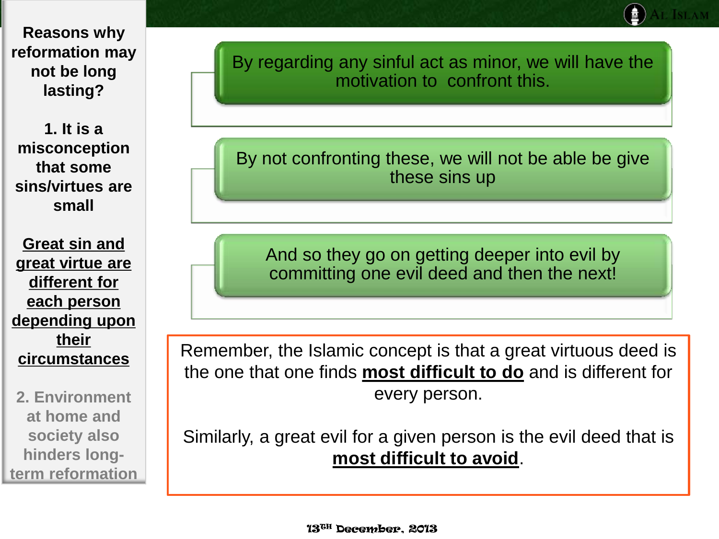**1. It is a misconception that some sins/virtues are small**

**Great sin and great virtue are different for each person depending upon their circumstances**

**2. Environment at home and society also hinders longterm reformation** By regarding any sinful act as minor, we will have the motivation to confront this.

By not confronting these, we will not be able be give these sins up

And so they go on getting deeper into evil by committing one evil deed and then the next!

Remember, the Islamic concept is that a great virtuous deed is the one that one finds **most difficult to do** and is different for every person.

Similarly, a great evil for a given person is the evil deed that is **most difficult to avoid**.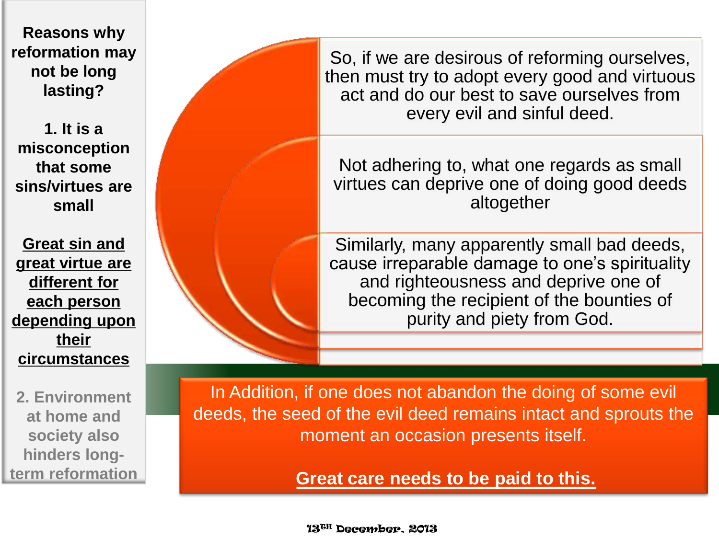**1. It is a misconception that some sins/virtues are small**

**Great sin and great virtue are different for each person depending upon their circumstances**

**2. Environment at home and society also hinders longterm reformation**

So, if we are desirous of reforming ourselves, then must try to adopt every good and virtuous act and do our best to save ourselves from every evil and sinful deed.

Not adhering to, what one regards as small virtues can deprive one of doing good deeds altogether

Similarly, many apparently small bad deeds, cause irreparable damage to one's spirituality and righteousness and deprive one of becoming the recipient of the bounties of purity and piety from God.

In Addition, if one does not abandon the doing of some evil deeds, the seed of the evil deed remains intact and sprouts the moment an occasion presents itself.

**Great care needs to be paid to this.**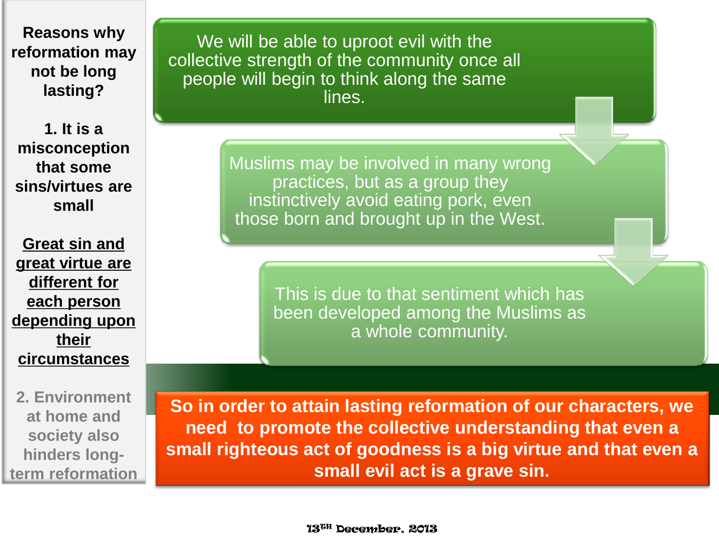**1. It is a misconception that some sins/virtues are small**

**Great sin and great virtue are different for each person depending upon their circumstances**

**2. Environment at home and society also hinders longterm reformation**

We will be able to uproot evil with the collective strength of the community once all people will begin to think along the same lines.

> Muslims may be involved in many wrong practices, but as a group they instinctively avoid eating pork, even those born and brought up in the West.

> > This is due to that sentiment which has been developed among the Muslims as a whole community.

**So in order to attain lasting reformation of our characters, we need to promote the collective understanding that even a small righteous act of goodness is a big virtue and that even a small evil act is a grave sin.**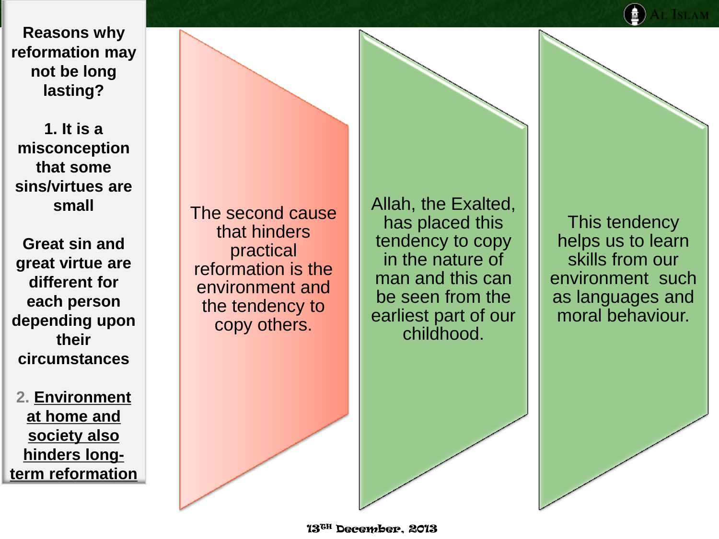**1. It is a misconception that some sins/virtues are small**

**Great sin and great virtue are different for each person depending upon their circumstances**

**2. Environment at home and society also hinders longterm reformation** The second cause that hinders practical reformation is the environment and the tendency to copy others.

Allah, the Exalted, has placed this tendency to copy in the nature of man and this can be seen from the earliest part of our childhood.

This tendency helps us to learn skills from our environment such as languages and moral behaviour.

13TH December, 2013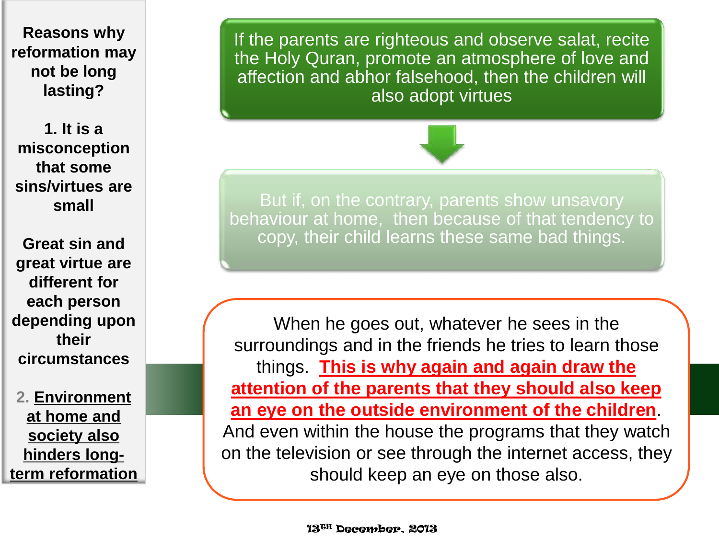**1. It is a misconception that some sins/virtues are small**

**Great sin and great virtue are different for each person depending upon their circumstances**

**2. Environment at home and society also hinders longterm reformation** If the parents are righteous and observe salat, recite the Holy Quran, promote an atmosphere of love and affection and abhor falsehood, then the children will also adopt virtues



But if, on the contrary, parents show unsavory behaviour at home, then because of that tendency to copy, their child learns these same bad things.

When he goes out, whatever he sees in the surroundings and in the friends he tries to learn those things. **This is why again and again draw the attention of the parents that they should also keep an eye on the outside environment of the children**. And even within the house the programs that they watch on the television or see through the internet access, they should keep an eye on those also.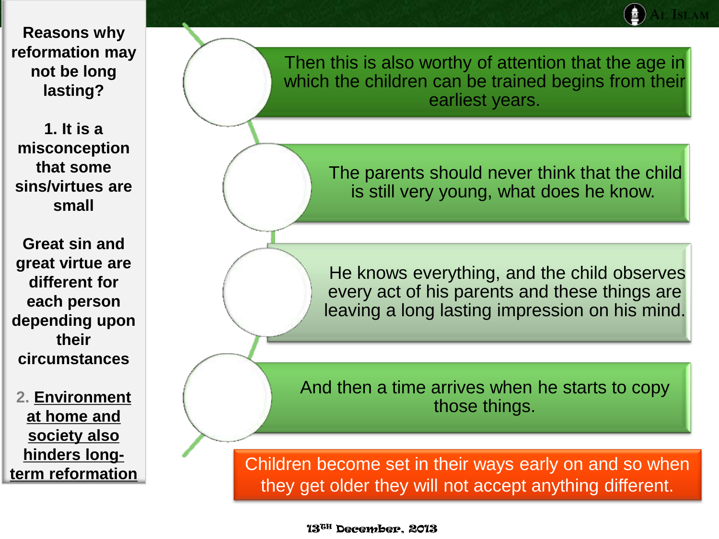**1. It is a misconception that some sins/virtues are small**

**Great sin and great virtue are different for each person depending upon their circumstances**

**2. Environment at home and society also hinders longterm reformation** Then this is also worthy of attention that the age in which the children can be trained begins from their earliest years.

> The parents should never think that the child is still very young, what does he know.

He knows everything, and the child observes every act of his parents and these things are leaving a long lasting impression on his mind.

And then a time arrives when he starts to copy those things.

Children become set in their ways early on and so when they get older they will not accept anything different.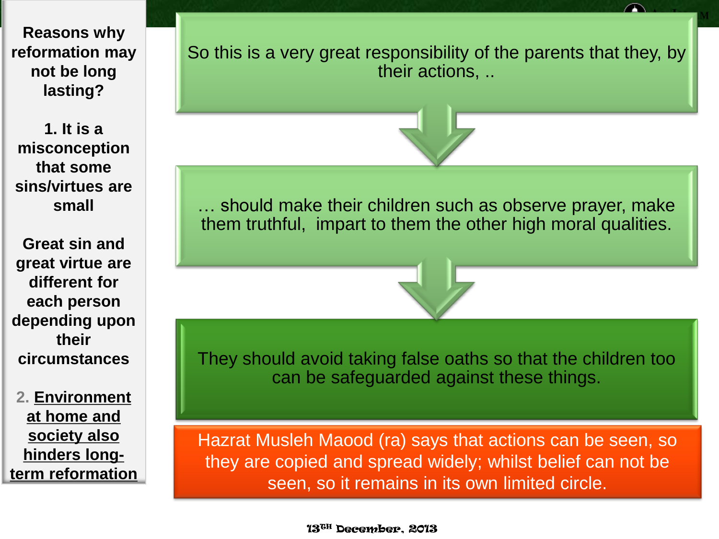**1. It is a misconception that some sins/virtues are small**

**Great sin and great virtue are different for each person depending upon their circumstances**

**2. Environment at home and society also hinders longterm reformation** So this is a very great responsibility of the parents that they, by their actions, ..



… should make their children such as observe prayer, make them truthful, impart to them the other high moral qualities.

They should avoid taking false oaths so that the children too can be safeguarded against these things.

Hazrat Musleh Maood (ra) says that actions can be seen, so they are copied and spread widely; whilst belief can not be seen, so it remains in its own limited circle.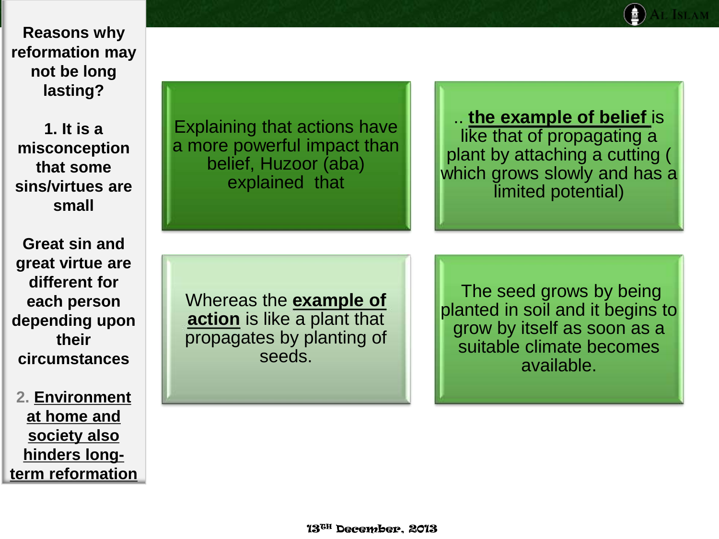**1. It is a misconception that some sins/virtues are small**

**Great sin and great virtue are different for each person depending upon their circumstances**

**2. Environment at home and society also hinders longterm reformation**

Explaining that actions have a more powerful impact than belief, Huzoor (aba) explained that

.. **the example of belief** is like that of propagating a plant by attaching a cutting ( which grows slowly and has a limited potential)

Whereas the **example of action** is like a plant that propagates by planting of seeds.

The seed grows by being planted in soil and it begins to grow by itself as soon as a suitable climate becomes available.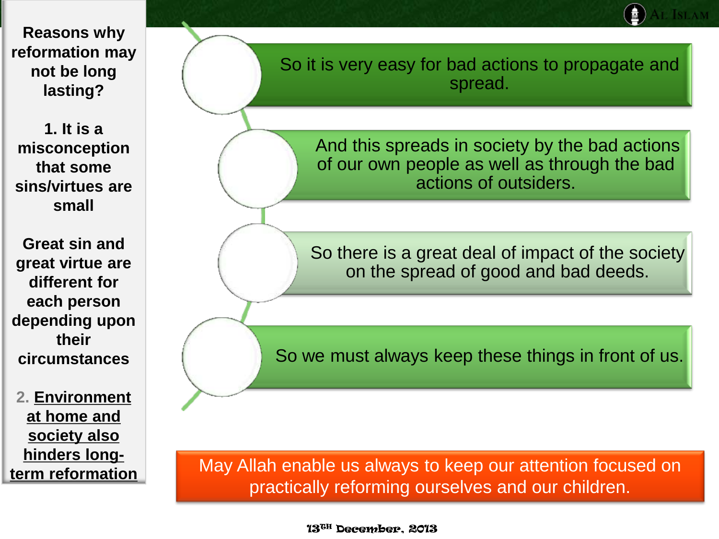**1. It is a misconception that some sins/virtues are small**

**Great sin and great virtue are different for each person depending upon their circumstances**

**2. Environment at home and society also hinders longterm reformation** So it is very easy for bad actions to propagate and spread.

> And this spreads in society by the bad actions of our own people as well as through the bad actions of outsiders.

So there is a great deal of impact of the society on the spread of good and bad deeds.

So we must always keep these things in front of us.

May Allah enable us always to keep our attention focused on practically reforming ourselves and our children.

13TH December, 2013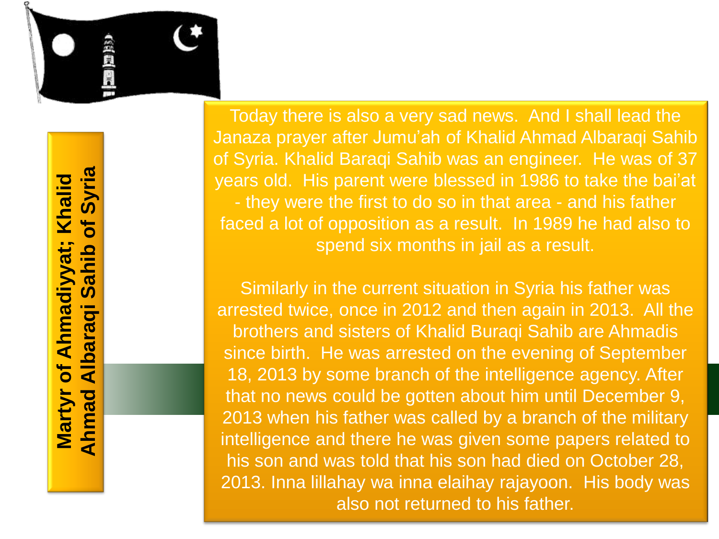

镇武国

Today there is also a very sad news. And I shall lead the Janaza prayer after Jumu'ah of Khalid Ahmad Albaraqi Sahib of Syria. Khalid Baraqi Sahib was an engineer. He was of 37 years old. His parent were blessed in 1986 to take the bai'at - they were the first to do so in that area - and his father faced a lot of opposition as a result. In 1989 he had also to spend six months in jail as a result.

Similarly in the current situation in Syria his father was arrested twice, once in 2012 and then again in 2013. All the brothers and sisters of Khalid Buraqi Sahib are Ahmadis since birth. He was arrested on the evening of September 18, 2013 by some branch of the intelligence agency. After that no news could be gotten about him until December 9, 2013 when his father was called by a branch of the military intelligence and there he was given some papers related to his son and was told that his son had died on October 28, 2013. Inna lillahay wa inna elaihay rajayoon. His body was also not returned to his father.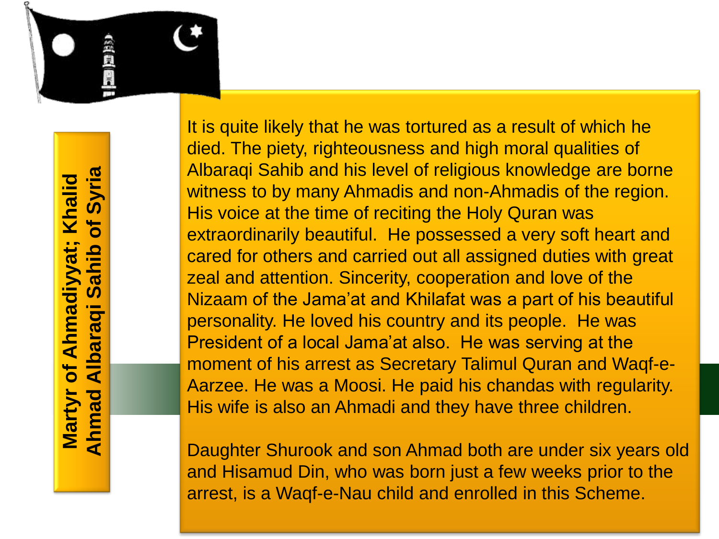

It is quite likely that he was tortured as a result of which he died. The piety, righteousness and high moral qualities of Albaraqi Sahib and his level of religious knowledge are borne witness to by many Ahmadis and non-Ahmadis of the region. His voice at the time of reciting the Holy Quran was extraordinarily beautiful. He possessed a very soft heart and cared for others and carried out all assigned duties with great zeal and attention. Sincerity, cooperation and love of the Nizaam of the Jama'at and Khilafat was a part of his beautiful personality. He loved his country and its people. He was President of a local Jama'at also. He was serving at the moment of his arrest as Secretary Talimul Quran and Waqf-e-Aarzee. He was a Moosi. He paid his chandas with regularity. His wife is also an Ahmadi and they have three children.

Daughter Shurook and son Ahmad both are under six years old and Hisamud Din, who was born just a few weeks prior to the arrest, is a Waqf-e-Nau child and enrolled in this Scheme.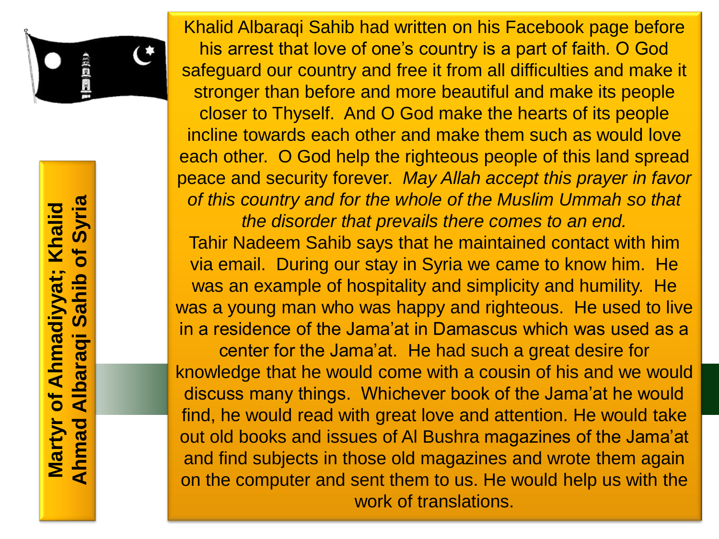

Syria **Ahmad Albaraqi Sahib of SyriaMartyr of Ahmadiyyat; Khalid**  Khalid  $\overline{\mathbf{b}}$ Ahmadiyyat; <u>did</u>  $\overline{\mathbf{c}}$ <u>ທ</u> Albaraqi  $\overline{\mathbf{b}}$ **Martyr** Ahmad

Khalid Albaraqi Sahib had written on his Facebook page before his arrest that love of one's country is a part of faith. O God safeguard our country and free it from all difficulties and make it stronger than before and more beautiful and make its people closer to Thyself. And O God make the hearts of its people incline towards each other and make them such as would love each other. O God help the righteous people of this land spread peace and security forever. *May Allah accept this prayer in favor of this country and for the whole of the Muslim Ummah so that the disorder that prevails there comes to an end.*  Tahir Nadeem Sahib says that he maintained contact with him via email. During our stay in Syria we came to know him. He was an example of hospitality and simplicity and humility. He was a young man who was happy and righteous. He used to live in a residence of the Jama'at in Damascus which was used as a center for the Jama'at. He had such a great desire for knowledge that he would come with a cousin of his and we would discuss many things. Whichever book of the Jama'at he would find, he would read with great love and attention. He would take out old books and issues of Al Bushra magazines of the Jama'at and find subjects in those old magazines and wrote them again on the computer and sent them to us. He would help us with the work of translations.